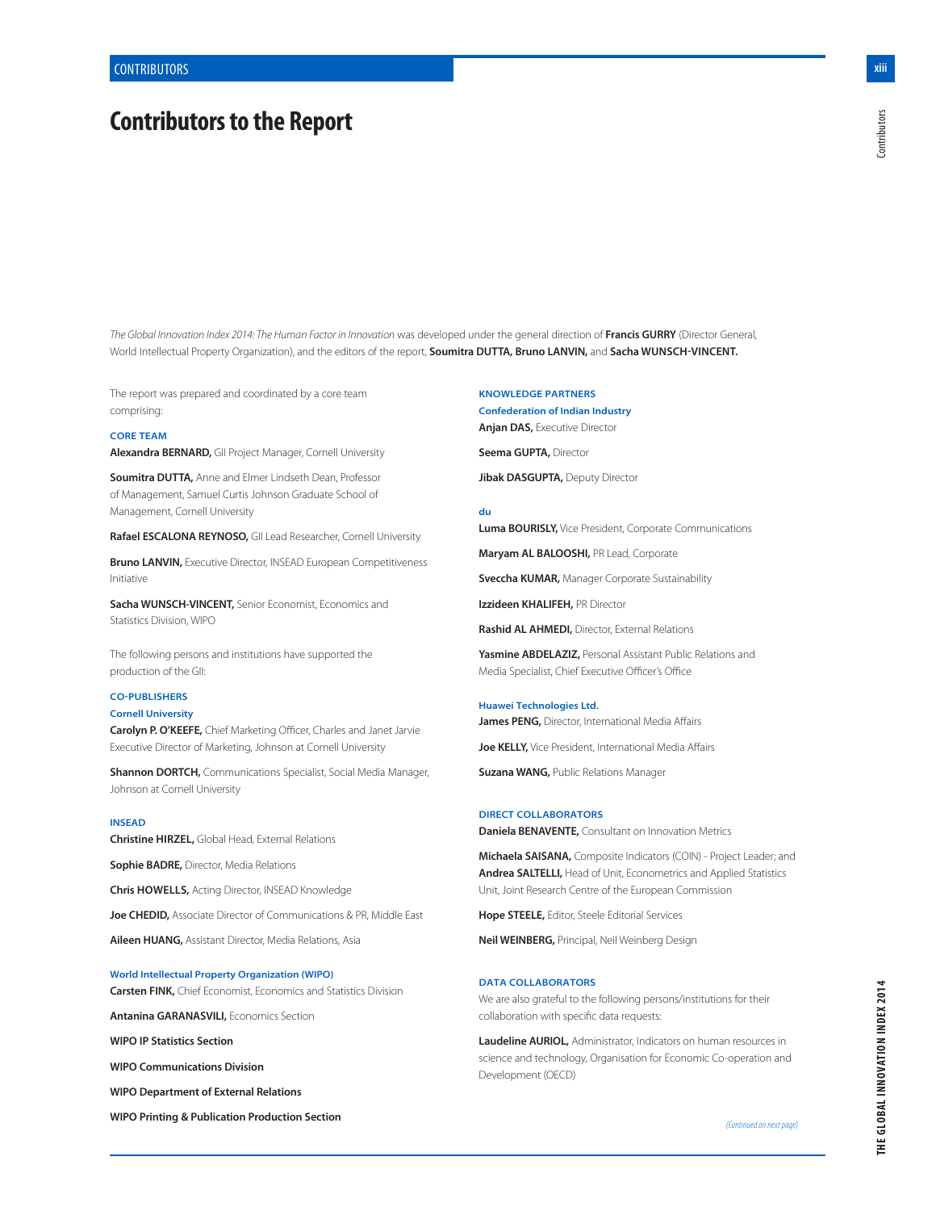# **Contributors to the Report**

**xiii**

*The Global Innovation Index 2014: The Human Factor in Innovation* was developed under the general direction of **Francis GURRY** (Director General, World Intellectual Property Organization), and the editors of the report, **Soumitra DUTTA, Bruno LANVIN,** and **Sacha WUNSCH-VINCENT.**

The report was prepared and coordinated by a core team comprising:

### **CORE TEAM**

**Alexandra BERNARD,** GII Project Manager, Cornell University

**Soumitra DUTTA,** Anne and Elmer Lindseth Dean, Professor of Management, Samuel Curtis Johnson Graduate School of Management, Cornell University

**Rafael ESCALONA REYNOSO,** GII Lead Researcher, Cornell University

**Bruno LANVIN,** Executive Director, INSEAD European Competitiveness Initiative

**Sacha WUNSCH-VINCENT,** Senior Economist, Economics and Statistics Division, WIPO

The following persons and institutions have supported the production of the GII:

## **CO-PUBLISHERS**

## **Cornell University**

**Carolyn P. O'KEEFE,** Chief Marketing Officer, Charles and Janet Jarvie Executive Director of Marketing, Johnson at Cornell University

**Shannon DORTCH,** Communications Specialist, Social Media Manager, Johnson at Cornell University

#### **INSEAD**

**Christine HIRZEL,** Global Head, External Relations

**Sophie BADRE,** Director, Media Relations

**Chris HOWELLS,** Acting Director, INSEAD Knowledge

**Joe CHEDID,** Associate Director of Communications & PR, Middle East

**Aileen HUANG,** Assistant Director, Media Relations, Asia

**World Intellectual Property Organization (WIPO) Carsten FINK,** Chief Economist, Economics and Statistics Division

**Antanina GARANASVILI,** Economics Section

**WIPO IP Statistics Section**

**WIPO Communications Division**

**WIPO Department of External Relations**

**WIPO Printing & Publication Production Section**

**KNOWLEDGE PARTNERS Confederation of Indian Industry Anjan DAS,** Executive Director

**Seema GUPTA,** Director

**Jibak DASGUPTA,** Deputy Director

#### **du**

**Luma BOURISLY,** Vice President, Corporate Communications

**Maryam AL BALOOSHI,** PR Lead, Corporate

**Sveccha KUMAR,** Manager Corporate Sustainability

**Izzideen KHALIFEH,** PR Director

**Rashid AL AHMEDI,** Director, External Relations

**Yasmine ABDELAZIZ,** Personal Assistant Public Relations and Media Specialist, Chief Executive Officer's Office

**Huawei Technologies Ltd. James PENG,** Director, International Media Affairs

**Joe KELLY,** Vice President, International Media Affairs

**Suzana WANG,** Public Relations Manager

#### **DIRECT COLLABORATORS**

**Daniela BENAVENTE,** Consultant on Innovation Metrics

**Michaela SAISANA,** Composite Indicators (COIN) - Project Leader; and **Andrea SALTELLI,** Head of Unit, Econometrics and Applied Statistics Unit, Joint Research Centre of the European Commission

**Hope STEELE,** Editor, Steele Editorial Services

**Neil WEINBERG,** Principal, Neil Weinberg Design

## **DATA COLLABORATORS**

We are also grateful to the following persons/institutions for their collaboration with specific data requests:

**Laudeline AURIOL,** Administrator, Indicators on human resources in science and technology, Organisation for Economic Co-operation and Development (OECD)

*(Continued on next page)*